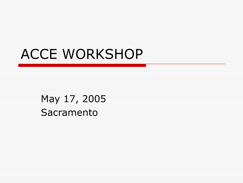# ACCE WORKSHOP

May 17, 2005 Sacramento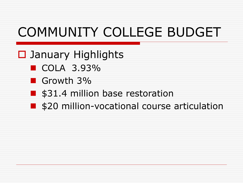# COMMUNITY COLLEGE BUDGET

**□** January Highlights

- $\blacksquare$  COLA 3.93%
- Growth 3%
- \$31.4 million base restoration
- **S20 million-vocational course articulation**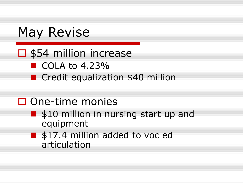## May Revise

#### $\square$  \$54 million increase

- $\blacksquare$  COLA to 4.23%
- **Credit equalization \$40 million**

### $\square$  One-time monies

- $\blacksquare$  \$10 million in nursing start up and equipment
- **S** \$17.4 million added to voc ed articulation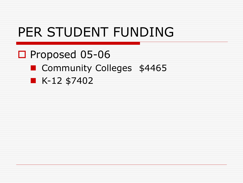### PER STUDENT FUNDING

#### □ Proposed 05-06

#### **Community Colleges \$4465**

 $\blacksquare$  K-12 \$7402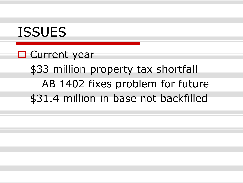### ISSUES

**O** Current year \$33 million property tax shortfall AB 1402 fixes problem for future \$31.4 million in base not backfilled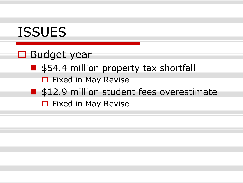### ISSUES

#### **□** Budget year

- \$54.4 million property tax shortfall
	- $\Box$  Fixed in May Revise
- **S** \$12.9 million student fees overestimate
	- $\Box$  Fixed in May Revise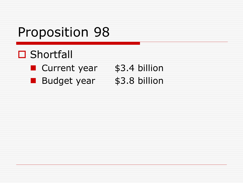### Proposition 98

#### □ Shortfall

- **Current year** \$3.4 billion
- Budget year \$3.8 billion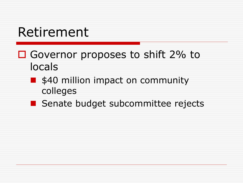## Retirement

- □ Governor proposes to shift 2% to locals
	- **S40 million impact on community** colleges
	- Senate budget subcommittee rejects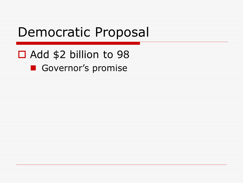### Democratic Proposal

#### □ Add \$2 billion to 98

#### Governor's promise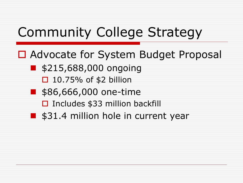# Community College Strategy

■ Advocate for System Budget Proposal

- **5215,688,000 ongoing** 
	- $\Box$  10.75% of \$2 billion
- **586,666,000 one-time** 
	- $\square$  Includes \$33 million backfill
- \$31.4 million hole in current year